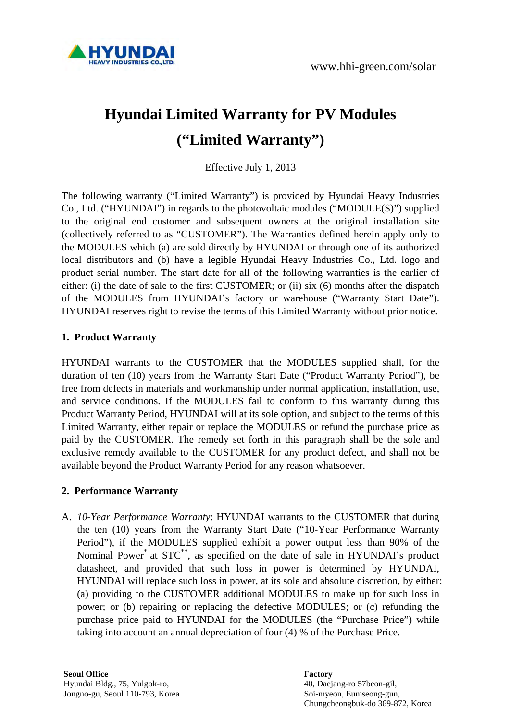

# **Hyundai Limited Warranty for PV Modules ("Limited Warranty")**

Effective July 1, 2013

The following warranty ("Limited Warranty") is provided by Hyundai Heavy Industries Co., Ltd. ("HYUNDAI") in regards to the photovoltaic modules ("MODULE(S)") supplied to the original end customer and subsequent owners at the original installation site (collectively referred to as "CUSTOMER"). The Warranties defined herein apply only to the MODULES which (a) are sold directly by HYUNDAI or through one of its authorized local distributors and (b) have a legible Hyundai Heavy Industries Co., Ltd. logo and product serial number. The start date for all of the following warranties is the earlier of either: (i) the date of sale to the first CUSTOMER; or (ii) six (6) months after the dispatch of the MODULES from HYUNDAI's factory or warehouse ("Warranty Start Date"). HYUNDAI reserves right to revise the terms of this Limited Warranty without prior notice.

### **1. Product Warranty**

HYUNDAI warrants to the CUSTOMER that the MODULES supplied shall, for the duration of ten (10) years from the Warranty Start Date ("Product Warranty Period"), be free from defects in materials and workmanship under normal application, installation, use, and service conditions. If the MODULES fail to conform to this warranty during this Product Warranty Period, HYUNDAI will at its sole option, and subject to the terms of this Limited Warranty, either repair or replace the MODULES or refund the purchase price as paid by the CUSTOMER. The remedy set forth in this paragraph shall be the sole and exclusive remedy available to the CUSTOMER for any product defect, and shall not be available beyond the Product Warranty Period for any reason whatsoever.

### **2. Performance Warranty**

A. *10-Year Performance Warranty*: HYUNDAI warrants to the CUSTOMER that during the ten (10) years from the Warranty Start Date ("10-Year Performance Warranty Period"), if the MODULES supplied exhibit a power output less than 90% of the Nominal Power<sup>\*</sup> at STC<sup>\*\*</sup>, as specified on the date of sale in HYUNDAI's product datasheet, and provided that such loss in power is determined by HYUNDAI, HYUNDAI will replace such loss in power, at its sole and absolute discretion, by either: (a) providing to the CUSTOMER additional MODULES to make up for such loss in power; or (b) repairing or replacing the defective MODULES; or (c) refunding the purchase price paid to HYUNDAI for the MODULES (the "Purchase Price") while taking into account an annual depreciation of four (4) % of the Purchase Price.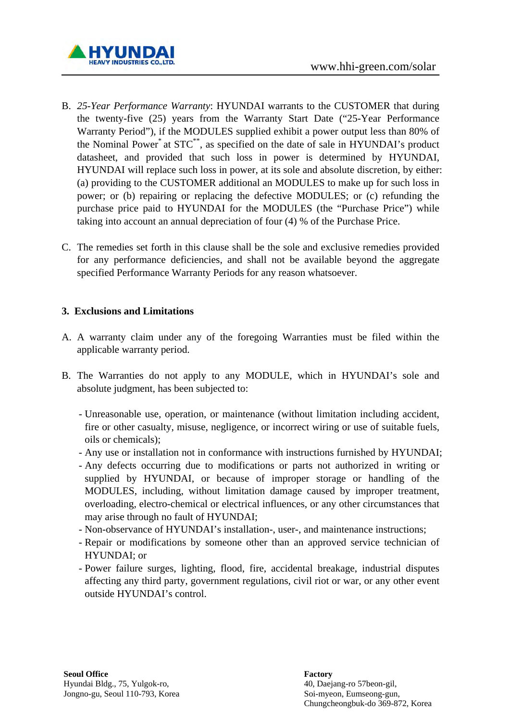

- B. *25-Year Performance Warranty*: HYUNDAI warrants to the CUSTOMER that during the twenty-five (25) years from the Warranty Start Date ("25-Year Performance Warranty Period"), if the MODULES supplied exhibit a power output less than 80% of the Nominal Power\* at STC\*\*, as specified on the date of sale in HYUNDAI's product datasheet, and provided that such loss in power is determined by HYUNDAI, HYUNDAI will replace such loss in power, at its sole and absolute discretion, by either: (a) providing to the CUSTOMER additional an MODULES to make up for such loss in power; or (b) repairing or replacing the defective MODULES; or (c) refunding the purchase price paid to HYUNDAI for the MODULES (the "Purchase Price") while taking into account an annual depreciation of four (4) % of the Purchase Price.
- C. The remedies set forth in this clause shall be the sole and exclusive remedies provided for any performance deficiencies, and shall not be available beyond the aggregate specified Performance Warranty Periods for any reason whatsoever.

### **3. Exclusions and Limitations**

- A. A warranty claim under any of the foregoing Warranties must be filed within the applicable warranty period.
- B. The Warranties do not apply to any MODULE, which in HYUNDAI's sole and absolute judgment, has been subjected to:
	- Unreasonable use, operation, or maintenance (without limitation including accident, fire or other casualty, misuse, negligence, or incorrect wiring or use of suitable fuels, oils or chemicals);
	- Any use or installation not in conformance with instructions furnished by HYUNDAI;
	- Any defects occurring due to modifications or parts not authorized in writing or supplied by HYUNDAI, or because of improper storage or handling of the MODULES, including, without limitation damage caused by improper treatment, overloading, electro-chemical or electrical influences, or any other circumstances that may arise through no fault of HYUNDAI;
	- Non-observance of HYUNDAI's installation-, user-, and maintenance instructions;
	- Repair or modifications by someone other than an approved service technician of HYUNDAI; or
	- Power failure surges, lighting, flood, fire, accidental breakage, industrial disputes affecting any third party, government regulations, civil riot or war, or any other event outside HYUNDAI's control.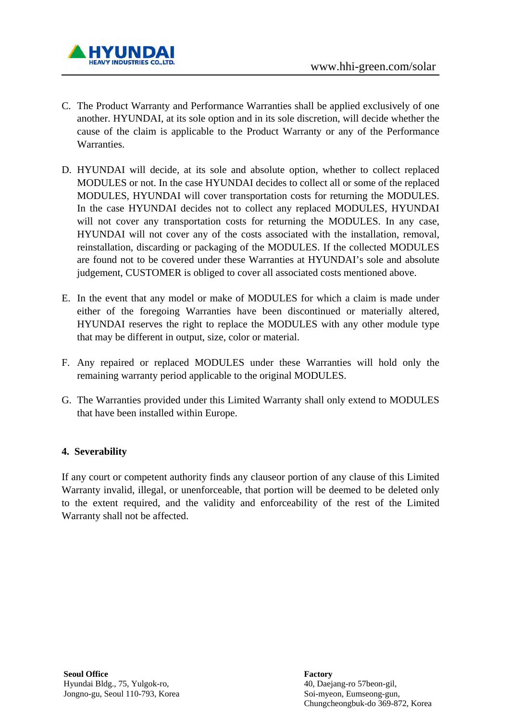

- C. The Product Warranty and Performance Warranties shall be applied exclusively of one another. HYUNDAI, at its sole option and in its sole discretion, will decide whether the cause of the claim is applicable to the Product Warranty or any of the Performance Warranties.
- D. HYUNDAI will decide, at its sole and absolute option, whether to collect replaced MODULES or not. In the case HYUNDAI decides to collect all or some of the replaced MODULES, HYUNDAI will cover transportation costs for returning the MODULES. In the case HYUNDAI decides not to collect any replaced MODULES, HYUNDAI will not cover any transportation costs for returning the MODULES. In any case, HYUNDAI will not cover any of the costs associated with the installation, removal, reinstallation, discarding or packaging of the MODULES. If the collected MODULES are found not to be covered under these Warranties at HYUNDAI's sole and absolute judgement, CUSTOMER is obliged to cover all associated costs mentioned above.
- E. In the event that any model or make of MODULES for which a claim is made under either of the foregoing Warranties have been discontinued or materially altered, HYUNDAI reserves the right to replace the MODULES with any other module type that may be different in output, size, color or material.
- F. Any repaired or replaced MODULES under these Warranties will hold only the remaining warranty period applicable to the original MODULES.
- G. The Warranties provided under this Limited Warranty shall only extend to MODULES that have been installed within Europe.

### **4. Severability**

If any court or competent authority finds any clauseor portion of any clause of this Limited Warranty invalid, illegal, or unenforceable, that portion will be deemed to be deleted only to the extent required, and the validity and enforceability of the rest of the Limited Warranty shall not be affected.